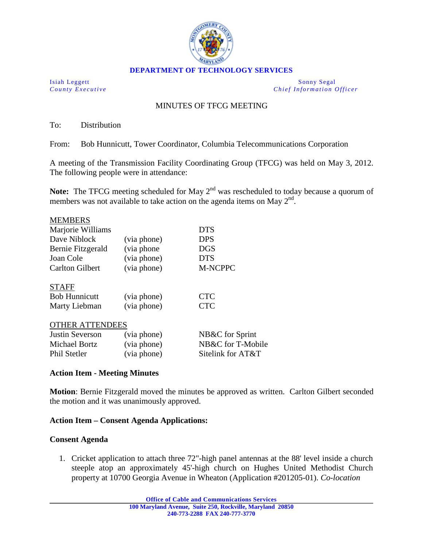

Isiah Leggett Sonny Segal *County Executive Chie f Information Officer*

# MINUTES OF TFCG MEETING

To: Distribution

From: Bob Hunnicutt, Tower Coordinator, Columbia Telecommunications Corporation

A meeting of the Transmission Facility Coordinating Group (TFCG) was held on May 3, 2012. The following people were in attendance:

Note: The TFCG meeting scheduled for May 2<sup>nd</sup> was rescheduled to today because a quorum of members was not available to take action on the agenda items on May  $2<sup>nd</sup>$ .

| <b>MEMBERS</b>         |             |                 |
|------------------------|-------------|-----------------|
| Marjorie Williams      |             | <b>DTS</b>      |
| Dave Niblock           | (via phone) | <b>DPS</b>      |
| Bernie Fitzgerald      | (via phone) | DGS             |
| Joan Cole              | (via phone) | DTS             |
| <b>Carlton Gilbert</b> | (via phone) | <b>M-NCPPC</b>  |
| <b>STAFF</b>           |             |                 |
| <b>Bob Hunnicutt</b>   | (via phone) | CTC             |
| Marty Liebman          | (via phone) | <b>CTC</b>      |
| <b>OTHER ATTENDEES</b> |             |                 |
| Justin Severson        | (via phone) | NB&C for Sprint |

| NB&C for T-Mobile<br>Michael Bortz<br>(via phone)<br>Sitelink for AT&T<br>Phil Stetler<br>(via phone) |  |
|-------------------------------------------------------------------------------------------------------|--|
|                                                                                                       |  |
|                                                                                                       |  |

### **Action Item - Meeting Minutes**

**Motion**: Bernie Fitzgerald moved the minutes be approved as written. Carlton Gilbert seconded the motion and it was unanimously approved.

### **Action Item – Consent Agenda Applications:**

#### **Consent Agenda**

1. Cricket application to attach three 72"-high panel antennas at the 88' level inside a church steeple atop an approximately 45'-high church on Hughes United Methodist Church property at 10700 Georgia Avenue in Wheaton (Application #201205-01). *Co-location*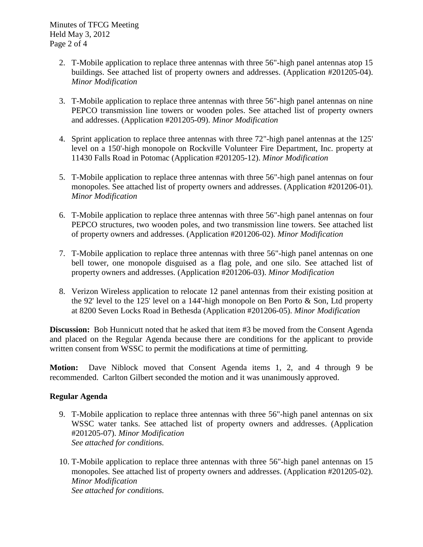- 2. T-Mobile application to replace three antennas with three 56"-high panel antennas atop 15 buildings. See attached list of property owners and addresses. (Application #201205-04). *Minor Modification*
- 3. T-Mobile application to replace three antennas with three 56"-high panel antennas on nine PEPCO transmission line towers or wooden poles. See attached list of property owners and addresses. (Application #201205-09). *Minor Modification*
- 4. Sprint application to replace three antennas with three 72"-high panel antennas at the 125' level on a 150'-high monopole on Rockville Volunteer Fire Department, Inc. property at 11430 Falls Road in Potomac (Application #201205-12). *Minor Modification*
- 5. T-Mobile application to replace three antennas with three 56"-high panel antennas on four monopoles. See attached list of property owners and addresses. (Application #201206-01). *Minor Modification*
- 6. T-Mobile application to replace three antennas with three 56"-high panel antennas on four PEPCO structures, two wooden poles, and two transmission line towers. See attached list of property owners and addresses. (Application #201206-02). *Minor Modification*
- 7. T-Mobile application to replace three antennas with three 56"-high panel antennas on one bell tower, one monopole disguised as a flag pole, and one silo. See attached list of property owners and addresses. (Application #201206-03). *Minor Modification*
- 8. Verizon Wireless application to relocate 12 panel antennas from their existing position at the 92' level to the 125' level on a 144'-high monopole on Ben Porto  $\&$  Son, Ltd property at 8200 Seven Locks Road in Bethesda (Application #201206-05). *Minor Modification*

**Discussion:** Bob Hunnicutt noted that he asked that item #3 be moved from the Consent Agenda and placed on the Regular Agenda because there are conditions for the applicant to provide written consent from WSSC to permit the modifications at time of permitting.

**Motion:** Dave Niblock moved that Consent Agenda items 1, 2, and 4 through 9 be recommended. Carlton Gilbert seconded the motion and it was unanimously approved.

## **Regular Agenda**

- 9. T-Mobile application to replace three antennas with three 56"-high panel antennas on six WSSC water tanks. See attached list of property owners and addresses. (Application #201205-07). *Minor Modification See attached for conditions.*
- 10. T-Mobile application to replace three antennas with three 56"-high panel antennas on 15 monopoles. See attached list of property owners and addresses. (Application #201205-02). *Minor Modification See attached for conditions.*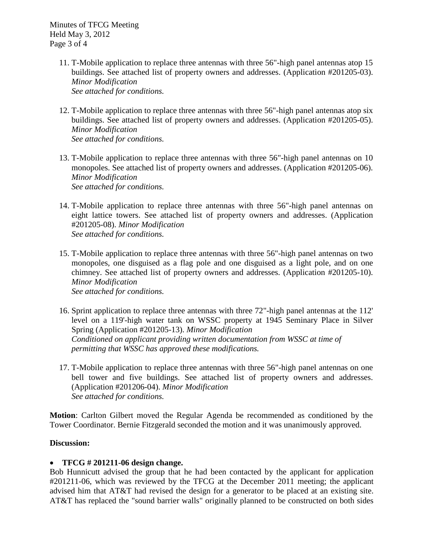Minutes of TFCG Meeting Held May 3, 2012 Page 3 of 4

- 11. T-Mobile application to replace three antennas with three 56"-high panel antennas atop 15 buildings. See attached list of property owners and addresses. (Application #201205-03). *Minor Modification See attached for conditions.*
- 12. T-Mobile application to replace three antennas with three 56"-high panel antennas atop six buildings. See attached list of property owners and addresses. (Application #201205-05). *Minor Modification See attached for conditions.*
- 13. T-Mobile application to replace three antennas with three 56"-high panel antennas on 10 monopoles. See attached list of property owners and addresses. (Application #201205-06). *Minor Modification See attached for conditions.*
- 14. T-Mobile application to replace three antennas with three 56"-high panel antennas on eight lattice towers. See attached list of property owners and addresses. (Application #201205-08). *Minor Modification See attached for conditions.*
- 15. T-Mobile application to replace three antennas with three 56"-high panel antennas on two monopoles, one disguised as a flag pole and one disguised as a light pole, and on one chimney. See attached list of property owners and addresses. (Application #201205-10). *Minor Modification See attached for conditions.*
- 16. Sprint application to replace three antennas with three 72"-high panel antennas at the 112' level on a 119'-high water tank on WSSC property at 1945 Seminary Place in Silver Spring (Application #201205-13). *Minor Modification Conditioned on applicant providing written documentation from WSSC at time of permitting that WSSC has approved these modifications.*
- 17. T-Mobile application to replace three antennas with three 56"-high panel antennas on one bell tower and five buildings. See attached list of property owners and addresses. (Application #201206-04). *Minor Modification See attached for conditions.*

**Motion**: Carlton Gilbert moved the Regular Agenda be recommended as conditioned by the Tower Coordinator. Bernie Fitzgerald seconded the motion and it was unanimously approved.

## **Discussion:**

## • **TFCG # 201211-06 design change.**

Bob Hunnicutt advised the group that he had been contacted by the applicant for application #201211-06, which was reviewed by the TFCG at the December 2011 meeting; the applicant advised him that AT&T had revised the design for a generator to be placed at an existing site. AT&T has replaced the "sound barrier walls" originally planned to be constructed on both sides